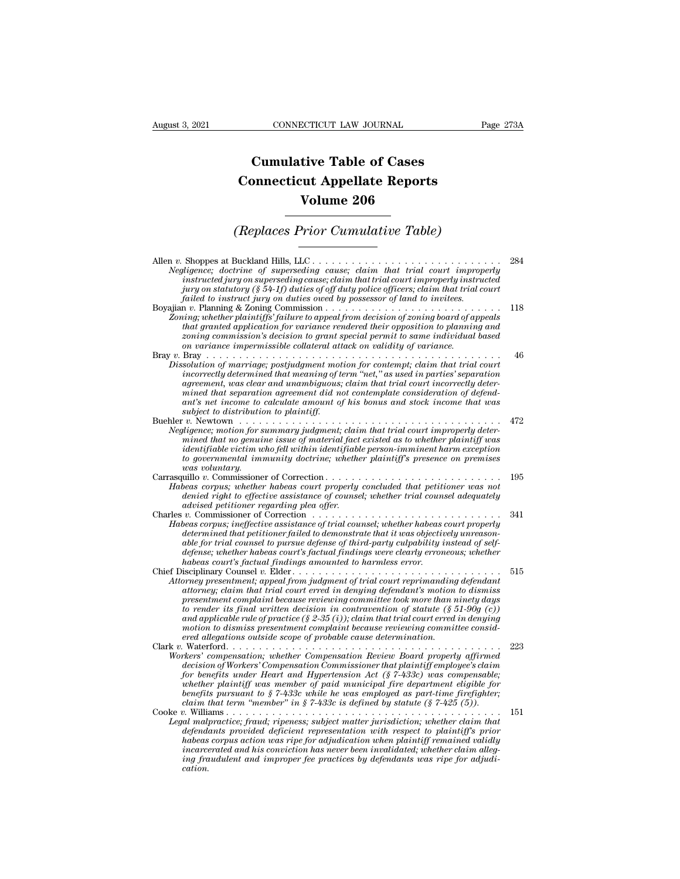## **CONNECTICUT LAW JOURNAL**<br> **Cumulative Table of Cases<br>
pnnecticut Appellate Reports CONNECTICUT LAW JOURNAL** Pag<br> **Cumulative Table of Cases<br>
Connecticut Appellate Reports<br>
Volume 206 ECTICUT LAW JOURNAL**<br> **Volume 206**<br> **Volume 206**<br> **Volume 206**<br> **Volume 206 Cumulative Table of Cases<br>
Connecticut Appellate Reports<br>
Volume 206<br>
(Replaces Prior Cumulative Table)**<br> **Ruckland Hills LLC**

| Volume 206                                                                                                                                                                                                                                                                                                                                                                                                                                                                                                                                                                          |     |
|-------------------------------------------------------------------------------------------------------------------------------------------------------------------------------------------------------------------------------------------------------------------------------------------------------------------------------------------------------------------------------------------------------------------------------------------------------------------------------------------------------------------------------------------------------------------------------------|-----|
| (Replaces Prior Cumulative Table)                                                                                                                                                                                                                                                                                                                                                                                                                                                                                                                                                   |     |
| Allen v. Shoppes at Buckland Hills, LLC<br>Negligence; doctrine of superseding cause; claim that trial court improperly<br>instructed jury on superseding cause; claim that trial court improperly instructed<br>jury on statutory (§ 54-1f) duties of off duty police officers; claim that trial court<br>failed to instruct jury on duties owed by possessor of land to invitees.                                                                                                                                                                                                 | 284 |
| Zoning; whether plaintiffs' failure to appeal from decision of zoning board of appeals<br>that granted application for variance rendered their opposition to planning and<br>zoning commission's decision to grant special permit to same individual based<br>on variance impermissible collateral attack on validity of variance.                                                                                                                                                                                                                                                  | 118 |
| Dissolution of marriage; postjudgment motion for contempt; claim that trial court<br>incorrectly determined that meaning of term "net," as used in parties' separation<br>agreement, was clear and unambiguous; claim that trial court incorrectly deter-<br>mined that separation agreement did not contemplate consideration of defend-<br>ant's net income to calculate amount of his bonus and stock income that was<br>subject to distribution to plaintiff.                                                                                                                   | 46  |
| Negligence; motion for summary judgment; claim that trial court improperly deter-<br>mined that no genuine issue of material fact existed as to whether plaintiff was<br>identifiable victim who fell within identifiable person-imminent harm exception<br>to governmental immunity doctrine; whether plaintiff's presence on premises<br>was voluntary.                                                                                                                                                                                                                           | 472 |
| Carrasquillo v. Commissioner of Correction<br>Habeas corpus; whether habeas court properly concluded that petitioner was not<br>denied right to effective assistance of counsel; whether trial counsel adequately<br>advised petitioner regarding plea offer.                                                                                                                                                                                                                                                                                                                       | 195 |
| Charles v. Commissioner of Correction $\ldots \ldots \ldots \ldots \ldots \ldots \ldots \ldots \ldots \ldots$<br>Habeas corpus; ineffective assistance of trial counsel; whether habeas court properly<br>determined that petitioner failed to demonstrate that it was objectively unreason-<br>able for trial counsel to pursue defense of third-party culpability instead of self-<br>defense; whether habeas court's factual findings were clearly erroneous; whether<br>habeas court's factual findings amounted to harmless error.                                             | 341 |
| Attorney presentment; appeal from judgment of trial court reprimanding defendant<br>attorney; claim that trial court erred in denying defendant's motion to dismiss<br>presentment complaint because reviewing committee took more than ninety days<br>to render its final written decision in contravention of statute $(\S 51-90g(c))$<br>and applicable rule of practice (§ 2-35 (i)); claim that trial court erred in denying<br>motion to dismiss presentment complaint because reviewing committee consid-<br>ered allegations outside scope of probable cause determination. | 515 |
| Workers' compensation; whether Compensation Review Board properly affirmed<br>decision of Workers' Compensation Commissioner that plaintiff employee's claim<br>for benefits under Heart and Hypertension Act $(\xi 7-433c)$ was compensable;<br>whether plaintiff was member of paid municipal fire department eligible for<br>benefits pursuant to $\S 7-433c$ while he was employed as part-time firefighter;<br>claim that term "member" in § 7-433c is defined by statute (§ 7-425 (5)).                                                                                       | 223 |
| Cooke $v$ . Williams<br>Legal malpractice; fraud; ripeness; subject matter jurisdiction; whether claim that<br>defendants provided deficient representation with respect to plaintiff's prior<br>habeas corpus action was ripe for adjudication when plaintiff remained validly<br>incarcerated and his conviction has never been invalidated; whether claim alleg-<br>ing fraudulent and improper fee practices by defendants was ripe for adjudi-<br>cation.                                                                                                                      | 151 |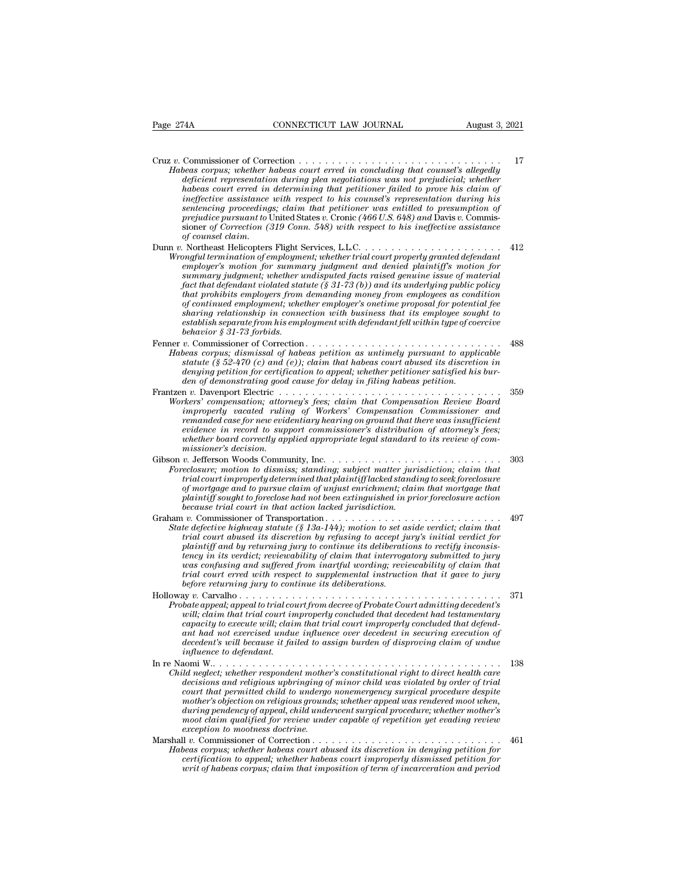Page 274A CONNECTICUT LAW JOURNAL August 3, 2021 Cruz *<sup>v</sup>*. Commissioner of Correction . . . . . . . . . . . . . . . . . . . . . . . . . . . . . . . <sup>17</sup> *Habeas corpus* corpus; when the corpus corpus; when the corpus; when the corpus; where  $\frac{17}{4}$ <br>*Habeas corpus; whether habeas court erred in concluding that counsel's allegedly*<br>*deficient representation during plea ne deficient representation during plea negotiations was not prejudicial; whether hamples connection*  $\alpha$  *habeas connection*  $\alpha$  *habeas corpus; whether habeas court erred in concluding that counsel's allegedly deficient representation during plea negotiations was not prejudicial; whether habeas cou ineffective assistance with respect to his counsel's representation during his sentencing proceedings; claim that petitioner was entitled to presumption of prefured in commissioner of Correction <i>pheas court erred in concluding that counsel's allegedly deficient representation during plea negotiations was not prejudicial; whether habeas court erred in determining that peti* Commissioner of Correction *(319)* commissioner of Correction *(319)* chease corpus; whether deficient representation during plea negotiations was not prejudicial; whether deficient representation during that petitioner fa *beas corpus; whether k*<br>deficient representatio<br>habeas court erred in<br>ineffective assistance<br>sentencing proceeding<br>prejudice pursuant to U<br>sioner of Correction (5<br>of counsel claim.<br>Notheast Helicopters<br>full terminition of *Lagrature in Firstandian during pear negotiallioner failed to prove his claim of*<br> *indicas court erred in determining that petitioner failed to prove his claim of*<br> *ineffective assistance with respect to his counsel's r Mubeus court erreal in determining unal petitioner jailed to prove its cattin of ineffective assistance with respect to his coursel's representation during his sentencing proceedings; claim that petitioner was entitled to emplective ussistance with respect to his counsers representation during his sentencing proceedings; claim that petitioner was entitled to presumption of prejudice pursuant to United States v. Cronic (466 U.S. 648) and Da sementring proceedings, carm that pertitoner was entitied to presumption of prejudice pursuant to United States v. Cronic (466 U.S. 648) and Davis v. Commissioner of Correction (319 Conn. 548) with respect to his ineffect facture pursuant to Onted States t. Cronic (400 U.S. 046) and Davis t. Continistion of Correction (319 Conn. 548) with respect to his ineffective assistance of Correction (319 Conn. 548) with respect to his ineffective as that prohibits employers from demanding money from employees as condition of counset catim.* And the services, L.L.C.<br> *of continent Helicopters Flight Services, L.L.C.*<br> *orgful termination of employment; whether trial court properly granted defendant<br>
employer's motion for summary judgment an share in the incopters Fight Services, L.L.C.*<br>*sharp in termination of employment, whether trial court properly granted defendant*<br>*summary judgment; whether undisputed facts raised genuine issue of material<br>fact that de establish separate from his employment; whether trual court property granted defendant employer's motion for summary judgment and denied plaintiff's motion for summary judgment; whether undisputed facts raised genuine behavior stammary judgment; whether a*<br> *bant mary judgment; whether a*<br> *hat prohibits employers from*<br> *of continued employers from*<br> *of continued employment; whe*<br> *sharing relationship in conne*<br> *establish separate* Fact that defendant violated statute (\$ 31-73 (b)) and its underlying public policy<br>fact that defendant violated statute (\$ 31-73 (b)) and its underlying public policy<br>that prohibits employeers from demanding money from em *Habeas corpus; dismissal of habeas corpus; dismissal of habeas corpus; dismissal of continued employers from demanding money from employes as condition of continued employment; whether employer's onetime proposal for pote statute (§ 52-470 (c) and (e)); claim that habeas court abused if the proposetion sharing relationship in connection with business that its employee sought to establish separate from his employment with defendant fell wit denimal employer solutions proposal for potential resolution relationship in connection with business that its employee sought to sharing relationship in connection with business that its employee sought to behavior § 31den of demonstrating good cause for delay in filing habeas petition.* Frantzen *v.* Davenport Electric . . . . . . . . . . . . . . . . . . . . . . . . . . . . . . . . . . <sup>359</sup> **Examples and the compensation;** attorney compensation; and the meaning peritorial of the statute (§ 52-470 (c) and (e)); claim that habeas court abused its discretion in denying petition for certification to appeal; wheth *i*. Commissioner or Correction.<br> *in the scorpus; dismissal of habeas petition as untimely pursuant to applicable*<br> *istatute* (§ 52-470 (c) and (e)); claim that habeas court abused its discretion in<br>
denying petition for *remains; us antissau of nuoves pertition as untimety pursuant to appartant the* (§ 52-470 (*c*) and (*e*)); claim that habeas court absort absort distorterion in denying petition for certification to appeal; whether petit *evidence is 22-440 (c) and (e)), clum had nabels court ubised as a stscretion in*<br>denying petition for certification to appeal; whether petitioner satisfied his bur-<br>den of demonstrating good cause for delay in filing hab *whether board correctly applied appropriate legal standard to its review of commissioner's decision.* Gibson *v.* Jefferson Woods Community, Inc. . . . . . . . . . . . . . . . . . . . . . . . . . . <sup>303</sup> *Foreclosure; compensation, attorneys years, catem and impropriation therite bouting*<br> *improprig vacated ruling of Workers' Compensation Commissioner and*<br> *Foreclosure; in record to support commissioner's distribution triproperty duction arrang of workers* Compensation Commissioner and<br>remanded case for new evidentiary hearing on ground that there was insufficient<br>evidence in record to support commissioner's distribution of attorney's *reminated case on rew evalentiary nearring on ground that there was this algebraic entrevience in record to support commissioner's distribution of attorney's fees; whether board correctly applied appropriate legal standar plaintiff sought to foreclose had not been extinguished in prior foreclosure;*<br>missioner's decision.<br>missioner's decision.<br>v. Jefferson Woods Community, Inc.<br>v. Jefferson Woods Community, Inc.<br>v. Jefferson Woods Community *because trial correctly applied appropriate tegat standard*<br> *missioner's decision.*<br> *because trial court improperly determined that plaintiff lacked standing*<br> *beclosure; motion to dismiss; standing; subject matter jur* Graham *v.* Commissioner of Transportation . . . . . . . . . . . . . . . . . . . . . . . . . . . <sup>497</sup> Foreclosure; motion to dismiss; standing, subject matter jurisdiction; claim that<br> *Froeclosure*; motion to dismiss; standing; subject matter jurisdiction; claim that<br> *trial court improperly determined that plaintiff lack trial court improperly determined that jalintiff lacked standing to seek foreclosure*<br> *trial court improperly determined that plaintiff lacked standing to seek foreclosure*<br> *of mortgage and to pursue claim of unjust enr plaintiff sought to pursue claim of urputatury dicked standing to seek forecasties* plaintiff *sought to foreclose had not been extinguished in prior foreclosure action* plaintiff *sought to foreclose had not been extingu tency marriage and to pursue calarm of undus entrument, calim that mortigage and because trial court in that action lacked jurisdiction.*<br> *because trial court in that action lacked jurisdiction.*<br> *i.*  $v$ . Commissioner *was confusing and suffered from inartful wording; reviewability of claim that trial court erred with respect to supplemental instruction that it gave to jury before its defective highway statute* (§ 13a-144); motion to set a defective highway statute (§ 13a-144); motion to set a plaintiff and by returning jury to continue its deliberations. plaintiff and by returning jury to *Final court abused its discretion by refusing to accept jury's initial verdict for*<br>*plaintiff and by returning jury to continue its deliberations to rectify inconsis-*<br>*tency in its verdict; reviewability of claim that i Probate and court admittiff and by retuning jury to continue its deliberations to rectify inconsistency in its verdict; reviewability of claim that interrogatory submitted to jury was confusing and suffered from inartful* partially and by returning Jary to continue its determines to rectify inconsistency in its verdict, reviewability of claim that trial court erred with respect form inartful wording; reviewability of claim that trial court *cally in its vertice, retreading by claim that interrogatory submitted to jury was confusing and suffered from inartful wording; reviewability of claim that trial court erred with respect to supplemental instruction that and confusing and suffered from that fail coording, reviewability of claim that* it court erred with respect to supplemental instruction that it gave to jury before returning jury to continue its deliberations.<br>And  $\alpha$  *decedent's will because it failed to assign burden of disproving claim of undue ing to commonly the carrelation of the tappeal; appeal to right of will; claim that trial court in capacity to execute will; claim that trial court in capacity to execute will; claim that in the capacity to execute will;* In From Troubour Control and the trial court from decree of Probate Court admitting decedent's<br>
will, claim that trial court improperly concluded that decedent had testamentary<br>
capacity to execute will, claim that trial c *Child neglect, uppeut of rate court in mother every rroote court amanting accetering capacity to execute will, claim that trial court improperly concluded that defendant had not exercised undue influence over decedent in decisions and religious in the courte will, claim that trial court improperly concluded that defend-*<br>capacity to text will, claim that trial court improperly concluded that defend-<br>ant had not exercised undue influence o *couparing to exercised under influence over decedent in securing execution of*<br>act *had not exercised undue influence over decedent in securing execution of*<br>decedent's will because it failed to assign burden of disprovin *mother's objection on religious grounds; whether appeal was rendered moot when, decedents wat oeclase a jadea to assign barden of assproving carm of anderwent influence to defendant.*<br>  $\begin{array}{lll} \text{and} & \text{in} & \text{in} & \text{in} & \text{in} & \text{in} & \text{in} & \text{in} & \text{in} & \text{in} & \text{in} & \text{in} & \text{in} & \text{in} & \text{in} & \text{in} & \text{in} & \text{in}$ *moot claim qualified for review under capable of repetition yet evading review Child neglect; whether respondent mother's constitutional right to direct health care*<br>decisions and religious upbringing of minor child was violated by order of trial<br>court that permitted child to undergo nonemergency su *Latta tengtod, whether Psychiant mioners constructional right of areasions and religious upbringing of minor child was violated by order of trial court that permitted child to undergo nonemergency surgical procedure despi Habeas court abused its discretion on religious approaches court bat permitted child to undergo nonemergency surgical procedure despite mother's objection on religious grounds; whether appeal was rendered moot when, durin court inal perminied chall to andery nonemeryenty surginous performation that perminient as spiech on religious grounds; whether hayd and redevel moot when, during pendency of appeal, child underwent surgical procedure; w wouter* sobjection of retugious grounds, whether appear was rendered moot when, during pendency of appeal, child underwent surgical procedure; whether mother's moot claim qualified for review wader capable of repetition y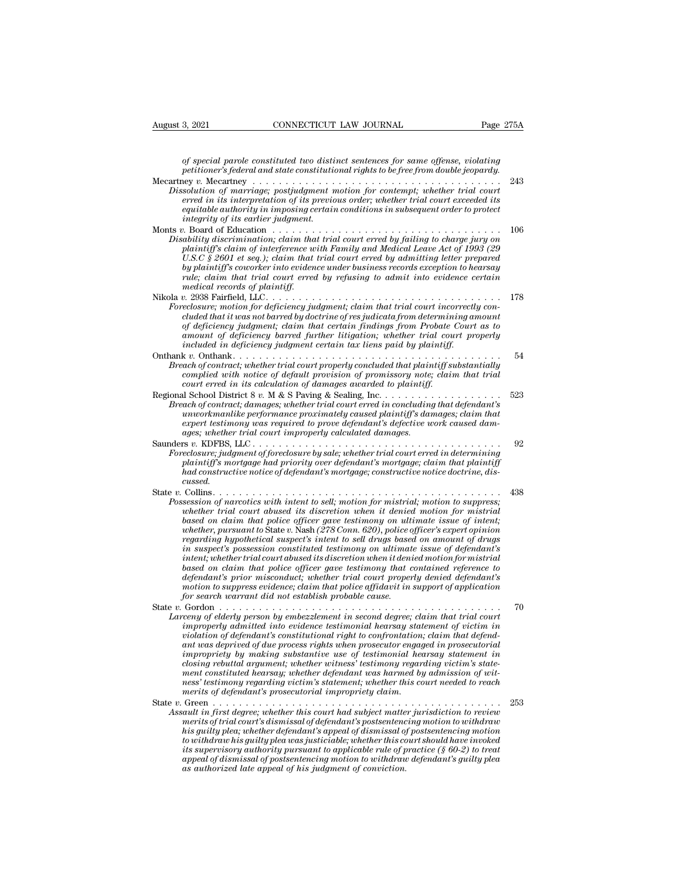*of special parole constituted two distinct sentences for same offense, violating* <sup>2</sup><br> *petitioner's federal and state constituted two distinct sentences for same offense, violating<br>
petitioner's federal and state constitutional rights to be free from double jeopardy.<br>
Lev v. Mecantery .................* 

| August 3, 2021                     | CONNECTICUT LAW JOURNAL                                                                                                                                                                                                                                                                                                                                                                                                                                                                                                                                                                                                                                                                                                                                                                                                                                                                                                    | Page 275A |
|------------------------------------|----------------------------------------------------------------------------------------------------------------------------------------------------------------------------------------------------------------------------------------------------------------------------------------------------------------------------------------------------------------------------------------------------------------------------------------------------------------------------------------------------------------------------------------------------------------------------------------------------------------------------------------------------------------------------------------------------------------------------------------------------------------------------------------------------------------------------------------------------------------------------------------------------------------------------|-----------|
|                                    |                                                                                                                                                                                                                                                                                                                                                                                                                                                                                                                                                                                                                                                                                                                                                                                                                                                                                                                            |           |
|                                    | of special parole constituted two distinct sentences for same offense, violating<br>petitioner's federal and state constitutional rights to be free from double jeopardy.                                                                                                                                                                                                                                                                                                                                                                                                                                                                                                                                                                                                                                                                                                                                                  |           |
| integrity of its earlier judgment. | Dissolution of marriage; postjudgment motion for contempt; whether trial court<br>erred in its interpretation of its previous order; whether trial court exceeded its<br>equitable authority in imposing certain conditions in subsequent order to protect                                                                                                                                                                                                                                                                                                                                                                                                                                                                                                                                                                                                                                                                 | 243       |
| medical records of plaintiff.      | Disability discrimination; claim that trial court erred by failing to charge jury on<br>plaintiff's claim of interference with Family and Medical Leave Act of 1993 (29<br>U.S.C $\frac{8}{3}$ 2601 et seq.); claim that trial court erred by admitting letter prepared<br>by plaintiff's coworker into evidence under business records exception to hearsay<br>rule; claim that trial court erred by refusing to admit into evidence certain                                                                                                                                                                                                                                                                                                                                                                                                                                                                              | 106       |
|                                    | Foreclosure; motion for deficiency judgment; claim that trial court incorrectly con-<br>cluded that it was not barred by doctrine of res judicata from determining amount<br>of deficiency judgment; claim that certain findings from Probate Court as to                                                                                                                                                                                                                                                                                                                                                                                                                                                                                                                                                                                                                                                                  | 178       |
|                                    | amount of deficiency barred further litigation; whether trial court properly<br>included in deficiency judgment certain tax liens paid by plaintiff.                                                                                                                                                                                                                                                                                                                                                                                                                                                                                                                                                                                                                                                                                                                                                                       |           |
|                                    | Breach of contract; whether trial court properly concluded that plaintiff substantially<br>complied with notice of default provision of promissory note; claim that trial<br>court erred in its calculation of damages awarded to plaintiff.                                                                                                                                                                                                                                                                                                                                                                                                                                                                                                                                                                                                                                                                               | 54        |
|                                    | Breach of contract; damages; whether trial court erred in concluding that defendant's<br>unworkmanlike performance proximately caused plaintiff's damages; claim that<br>expert testimony was required to prove defendant's defective work caused dam-<br>ages; whether trial court improperly calculated damages.                                                                                                                                                                                                                                                                                                                                                                                                                                                                                                                                                                                                         | 523       |
| cussed.                            | Foreclosure; judgment of foreclosure by sale; whether trial court erred in determining<br>plaintiff's mortgage had priority over defendant's mortgage; claim that plaintiff<br>had constructive notice of defendant's mortgage; constructive notice doctrine, dis-                                                                                                                                                                                                                                                                                                                                                                                                                                                                                                                                                                                                                                                         | 92        |
|                                    | Possession of narcotics with intent to sell; motion for mistrial; motion to suppress;<br>whether trial court abused its discretion when it denied motion for mistrial<br>based on claim that police officer gave testimony on ultimate issue of intent;<br>whether, pursuant to State v. Nash (278 Conn. 620), police officer's expert opinion<br>regarding hypothetical suspect's intent to sell drugs based on amount of drugs<br>in suspect's possession constituted testimony on ultimate issue of defendant's<br>intent; whether trial court abused its discretion when it denied motion for mistrial<br>based on claim that police officer gave testimony that contained reference to<br>defendant's prior misconduct; whether trial court properly denied defendant's<br>motion to suppress evidence; claim that police affidavit in support of application<br>for search warrant did not establish probable cause. | 438       |
|                                    | Larceny of elderly person by embezzlement in second degree; claim that trial court<br>improperly admitted into evidence testimonial hearsay statement of victim in<br>violation of defendant's constitutional right to confrontation; claim that defend-<br>ant was deprived of due process rights when prosecutor engaged in prosecutorial<br>impropriety by making substantive use of testimonial hearsay statement in<br>closing rebuttal argument; whether witness' testimony regarding victim's state-<br>ment constituted hearsay; whether defendant was harmed by admission of wit-<br>ness' testimony regarding victim's statement; whether this court needed to reach<br>merits of defendant's prosecutorial impropriety claim.                                                                                                                                                                                   | 70        |
|                                    | Assault in first degree; whether this court had subject matter jurisdiction to review<br>merits of trial court's dismissal of defendant's postsentencing motion to withdraw<br>his quilty plea; whether defendant's appeal of dismissal of postsentencing motion<br>to withdraw his guilty plea was justiciable; whether this court should have invoked<br>its supervisory authority pursuant to applicable rule of practice $(\S 60-2)$ to treat<br>appeal of dismissal of postsentencing motion to withdraw defendant's guilty plea<br>as authorized late appeal of his judgment of conviction.                                                                                                                                                                                                                                                                                                                          | 253       |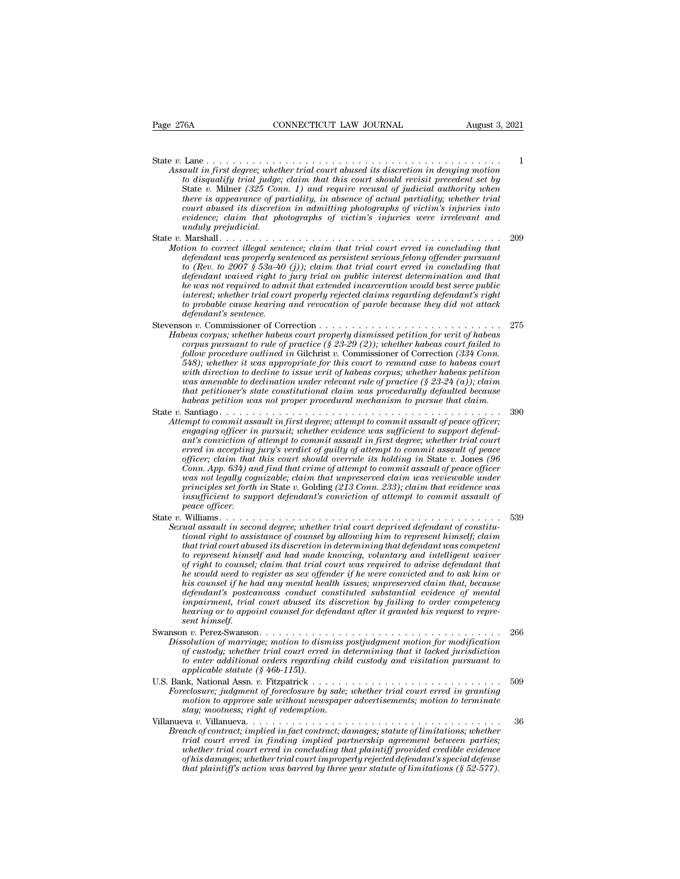State *v.* Lane . . . . . . . . . . . . . . . . . . . . . . . . . . . . . . . . . . . . . . . . . . . . . <sup>1</sup> *Assault in first degree; whether trial court abused its discretion in denying motion*<br>*Assault in first degree; whether trial court abused its discretion in denying motion*<br>*to disqualify trial judge; claim that this cour to disqualify trial in first degree; whether trial court abused its discretion in denying motion*<br>*to disqualify trial judge; claim that this court should revisit precedent set by*<br>*to disqualify trial judge; claim that t* State *v.* Milner *(325 Conn. 1) and require recusal of judicial authority when* Lane  $\ldots$   $\ldots$   $\ldots$   $\ldots$   $\ldots$   $\ldots$   $\ldots$   $\ldots$   $\ldots$   $\ldots$   $\ldots$   $\ldots$   $\ldots$   $\ldots$   $\ldots$   $\ldots$   $\ldots$   $\ldots$   $\ldots$   $\ldots$   $\ldots$   $\ldots$   $\ldots$   $\ldots$   $\ldots$   $\ldots$   $\ldots$   $\ldots$   $\ldots$   $\ldots$   $\ldots$   $\ldots$   $\ldots$   $\ldots$   $\ldots$   $\ldots$  *court abused its discretion in admitting photographs of victim's injuries into evidence; claim that photographs of victim's injuries were irrelevant and unduly prejudicial.* State *v.* Milner *Capitally trial iddge;* chainer *i* and *the court should revisit precedent set by*<br>State *v.* Milner (325 Conn. 1) and require recusal of judicial authority when<br>there is appearance of partiality, in ab *Motion to displanting intarty and the correct illegal sentence is appearance of partiality, in absence of actual partiality; whether trial court abused its discretion in admitting photographs of victim's injuries into ev definition is a complement of partiality, in absence of actual partiality; when the court abused its discretion in admitting photographs of victim's injuries into evidence; claim that photographs of victim's injuries wer* 

- *to are a supperatate of that any dialogue of actual partiality, in the evidence; claim that photographs of victim's injuries into evidence; claim that photographs of victim's injuries were irrelevant and unduly prejudicia defendant waived right to jury trial on public interest determination and that he was not required to admit that extended incarceration would best serve public interest; whether trial court properly rejected claims regarding defendant's right to probable cause hearing and revocation of parole because they did not attack defendant was properly sentenced as persistent serious felony offender pursuant* to (Rev. to 2007 § 53a-40 (j)); claim that trial court erred in concluding that defendant waived right to jury trial on public interest dete *v. (Rev. to 2007 § 53a.40 (j));* daim that trial court erred in concluding that the vas not required right to jury trial on public interest determination and that the was not required to damit that extended incarceration *Habeas corpus; whether habeas corpus; whether habeas corpus; whether the was not required to damit that extended incarceration would best serve public interest; whether trial court properly rejected claims regarding defen corpus pursuant to rule of practice (§ 23-29 (2)); whether trial convertion would best serve public*<br>interest; whether trial court properly rejected claims regarding defendant's right<br>to probable cause hearing and revocat
- *follow procedure in a dumit mate extended induceration would best serve public interest; whether trial court properly rejected claims regarding defendant's right to probable cause hearing and revocation of parole because 548); whether it was appropriate for this court to remand case to habeas court with direction to decline to issue writ of habeas corpus; whether habeas petition was amenable to declination under relevant rule of practice (§ 23-24 (a)); claim that petitioner's state constitutional claim was procedurally defaulted because heas corpus; whether habeas court property dismissed petition for writ of habeas corpus pursuant to rule of practice (§ 23-29 (2)); whether habeas court failed to*  $548$ *); whether outlined in Gilchrist v. Commissioner of C* follow procedure outlined in Gilchrist v. Commissioner of Correction (334 Commissioner) follow procedure outlined in Gilchrist v. Commissioner of Correction (334 Commissioner of with direction to decline to issue writ of h *Attempt to commit assault in first degree; attempt to commit solution of attempt to commit and case to habeas court*<br>*Atter it was appropriate for this court to remand case to habeas court*<br>*with direction to decline to i engaging officer in was uppropriate for ans court to remain case to makes corrus amenable to declination under relevant rule of practice (§ 23-24 (a)); claim that petitioner's state constitutional claim was procedurally d*
- *and arecum to accume to issue arring mateus corpus, whenew mateus perturent trial peritioner's state constitutional claim was procedurally defaulted because habeas petition was not proper procedural mechanism to pursue th erred in the distribution and Figure in the of procedured (see that petitioner's state constitutional claim was procedurally defaulted because habeas petition was not proper procedural mechanism to pursue that claim.*<br>
Sa *officer; claim that this court should overrule its holding in* State *v.* Jones *(96 Conn. App. 634) and find that crime of attempt to commit assault of peace officer;*<br>engaging officer in pursuit; whether evidence was sufficient to support defend-<br>engaging officer in pursuit; whether evidence was suffici *was not legally cognization in first degree; attempt to commit assault of peace officer;*  $i$  and  $j$  fiest degree; attempt to commit assault in first degree; whether trial court erred in accepting jury's verdict of guilt *proper to commut assault in first degree; attempt to commut assault of peace officer;*<br>engaging officer in pursuit; whether evidence was sufficient to support defend-<br>ant's conviction of attempt to commit assault of peace *engaging officer in pursuit; whether evidence was sufficient to support defendant's conviction of attempt to commit assault in first degree; whether trial court<br>erred in accepting jary's verdict of guilty of attempt to co peace officer.* officer; claim that this court of guary of acception in State *v*. Jones (96<br>officer; claim that this court should overrule its holding in State *v*. Jones (96<br>Conn. App. 634) and find that crime of attempt to commit assau *Sexual assault in second degree; whether trial court deprived defendant of peace officer*<br> *Conn. App. 634) and find that crime of attempt to commit assault of peace officer*<br> *was not legally cognizable; claim that unpre*
- *tional App.* 03-4) and functional right to commit assaud to peace of counsely agains to legaly cognizable; claim that unpreserved claim was reviewable under principles set forth in State v. Golding (213 Conn. 233); claim *that increding trial court abused its discretion in that trial court abused its discretion in State v.* Golding (213 Conn. 233); claim that evidence was insufficient to support defendant's conviction of attempt to commit *to represent to support defendant's conviction of attempt to commit assault of*<br>*insufficient to support defendant's conviction of attempt to commit assault of*<br>*peace officer.*<br>Williams . . . . . . . . . . . . . . . . . *of right to counsel; claim that trial court was required to advise defendant that he would need to register as sex offender if he were convicted and to ask him or his counsel in second degree; whether trial court deprived defendant of constitutional right to assistance of counsel by allowing him to represent himself; claim that trial court abused its discretion in determining that defendant in second degree; whether trad court deprived defendant of constitutional right to assistance of counsel by allowing him to represent himself; claim that trial court abused its discretion in determining that def it to assistance of counset by allowing him to represent himself; claim*<br>*that trial court abused its discretion in determining that defendant was competent*<br>*for represent himself and had made knowing, voluntary and inte that trad court abused us discretion in determining that defendant was competent* to represent himself and had made knowing, voluntary and intelligent waver of right to counsel; claim that trial court was required to advi *se represent himself right to counsel.<br>
his counsel if he hold need to relation to relation*<br> *his counsel if he he<br>
defendant's postcoimpairment, trial<br>
hearing or to appo<br>
sent himself.<br>
n v. Perez-Swanson* Swanson *<sup>v</sup>*. Perez-Swanson. . . . . . . . . . . . . . . . . . . . . . . . . . . . . . . . . . . . . <sup>266</sup> *Dissolution details and method any mental health issues; unpreserved claim that, because*<br>defendant's postcanvass conduct constituted substantial evidence of mental<br>impairment, trial court abused its discretion by failing *of custody; whether trial conduct constituted substantial evidence of mental impairment, trial court abused its discretion by failing to order competency hearing or to appoint counsel for defendant after it granted his re*
- *to enternal is postedned substituted substituted substitute of mental impairment, trial court abused its discretion by failing to order competency hearing or to appoint counsel for defendant after it granted his request t appairment, trial court abused its discretion by failing to order competency hearing or to appoint counsel for defendant after it granted his request to represent himself.*<br>Swanson v. Perez-Swanson........................ South the set of the set of the set of the set of the set of the set of the set of the set of the set of the set of the set of custody; whether trial court erred in determining that it lacked jurisdiction<br>of custody; wheth **Foreclosure;** *Foreclosure*; *Foreclosure; intimal court erred in determining that it lacked jurisdiction*<br>*of custody; whether trial court erred in determining that it lacked jurisdiction*<br>*to enter additional orders reg motion to a marriage; motion to dismiss postjudgment motion for modification*<br>of custody; whether trial court erred in determining that it lacked jurisdiction<br>to enter additional orders regarding child custody and visitat
- *stay; mootness; right of redemption.* Villanueva *v.* Villanueva. . . . . . . . . . . . . . . . . . . . . . . . . . . . . . . . . . . . . . . <sup>36</sup> *Above the contract; implied in fact contract; damages; statute of limitations; whether trial court erred in granting<br>
Foreclosure; judgment of foreclosure by sale; whether trial court erred in granting<br>
motion to approve*
- **the particular court erred in finding implied partnership and the partnership and the sectosure; judgment of foreclosure by sale; whether trial court erred in granting motion to approve sale without newspaper advertisemen** *whether trial court erred in foreclosure by sale; whether trial court erred in granting motion to approve sale without newspaper advertisements; motion to terminate stay; mootness; right of redemption.*<br>wa v. Villanueva.. *of total in the interimal of the magineric of his damages; whether trial court erred in granting*<br>*of his damages; right of redemption.*<br> $\frac{dy}{dx}$  mootness; right of redemption.<br> $\frac{dy}{dx}$  w. Villanueva.................... *that plaintiff's action was barred by three year statute of limitations (§ 52-577).*